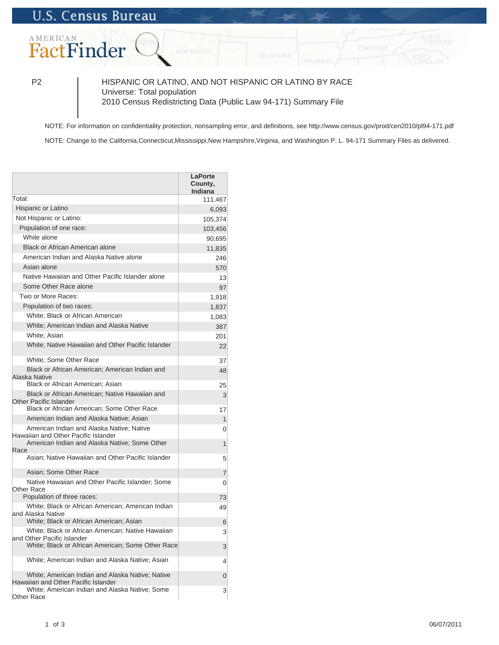## AMERICAN FactFinder

P2 HISPANIC OR LATINO, AND NOT HISPANIC OR LATINO BY RACE Universe: Total population 2010 Census Redistricting Data (Public Law 94-171) Summary File

NOTE: For information on confidentiality protection, nonsampling error, and definitions, see http://www.census.gov/prod/cen2010/pl94-171.pdf

NOTE: Change to the California,Connecticut,Mississippi,New Hampshire,Virginia, and Washington P. L. 94-171 Summary Files as delivered.

|                                                                                                                                      | <b>LaPorte</b><br>County,<br><b>Indiana</b> |
|--------------------------------------------------------------------------------------------------------------------------------------|---------------------------------------------|
| Total:                                                                                                                               | 111,467                                     |
| Hispanic or Latino                                                                                                                   | 6,093                                       |
| Not Hispanic or Latino:                                                                                                              | 105,374                                     |
| Population of one race:                                                                                                              | 103,456                                     |
| White alone                                                                                                                          | 90,695                                      |
| Black or African American alone                                                                                                      | 11,835                                      |
| American Indian and Alaska Native alone                                                                                              | 246                                         |
| Asian alone                                                                                                                          | 570                                         |
| Native Hawaiian and Other Pacific Islander alone                                                                                     | 13                                          |
| Some Other Race alone                                                                                                                | 97                                          |
| Two or More Races:                                                                                                                   | 1,918                                       |
| Population of two races:                                                                                                             | 1,837                                       |
| White; Black or African American                                                                                                     | 1,083                                       |
| White: American Indian and Alaska Native                                                                                             | 387                                         |
| White; Asian                                                                                                                         | 201                                         |
| White; Native Hawaiian and Other Pacific Islander                                                                                    | 22                                          |
| White; Some Other Race                                                                                                               | 37                                          |
| Black or African American; American Indian and<br>Alaska Native                                                                      | 48                                          |
| Black or African American; Asian                                                                                                     | 25                                          |
| Black or African American; Native Hawaiian and<br><b>Other Pacific Islander</b>                                                      | 3                                           |
| Black or African American; Some Other Race                                                                                           | 17                                          |
| American Indian and Alaska Native; Asian                                                                                             | 1                                           |
| American Indian and Alaska Native; Native<br>Hawaiian and Other Pacific Islander                                                     | 0                                           |
| American Indian and Alaska Native; Some Other<br>Race                                                                                | 1                                           |
| Asian; Native Hawaiian and Other Pacific Islander                                                                                    | 5                                           |
| Asian; Some Other Race                                                                                                               | $\overline{7}$                              |
| Native Hawaiian and Other Pacific Islander; Some<br><b>Other Race</b>                                                                | 0                                           |
| Population of three races:                                                                                                           | 73                                          |
| White; Black or African American; American Indian<br>and Alaska Native                                                               | 49                                          |
| White; Black or African American; Asian                                                                                              | 6                                           |
| White; Black or African American; Native Hawaiian<br>and Other Pacific Islander<br>White; Black or African American; Some Other Race | 3                                           |
|                                                                                                                                      | 3                                           |
| White; American Indian and Alaska Native; Asian                                                                                      | 4                                           |
| White; American Indian and Alaska Native; Native<br>Hawaiian and Other Pacific Islander                                              | $\overline{0}$                              |
| White; American Indian and Alaska Native; Some<br>Other Race                                                                         | 3                                           |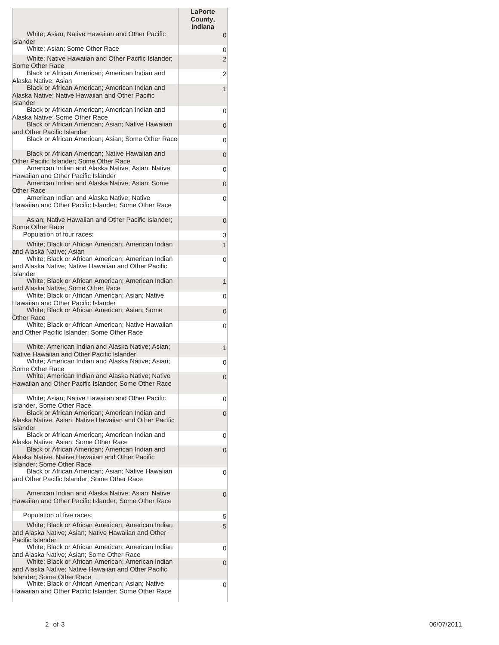|                                                                                                                                                        | LaPorte<br>County,<br>Indiana |                |
|--------------------------------------------------------------------------------------------------------------------------------------------------------|-------------------------------|----------------|
| White; Asian; Native Hawaiian and Other Pacific<br>Islander                                                                                            |                               | $\mathbf 0$    |
| White; Asian; Some Other Race                                                                                                                          |                               | 0              |
| White; Native Hawaiian and Other Pacific Islander;<br>Some Other Race                                                                                  |                               | $\overline{2}$ |
| Black or African American; American Indian and                                                                                                         |                               | 2              |
| Alaska Native: Asian<br>Black or African American; American Indian and                                                                                 |                               | 1              |
| Alaska Native; Native Hawaiian and Other Pacific<br>Islander                                                                                           |                               |                |
| Black or African American; American Indian and<br>Alaska Native: Some Other Race                                                                       |                               | 0              |
| Black or African American; Asian; Native Hawaiian<br>and Other Pacific Islander                                                                        |                               | 0              |
| Black or African American; Asian; Some Other Race                                                                                                      |                               | 0              |
| Black or African American; Native Hawaiian and<br>Other Pacific Islander; Some Other Race                                                              |                               | 0              |
| American Indian and Alaska Native; Asian; Native                                                                                                       |                               | 0              |
| Hawaiian and Other Pacific Islander<br>American Indian and Alaska Native; Asian; Some                                                                  |                               | 0              |
| Other Race<br>American Indian and Alaska Native; Native                                                                                                |                               |                |
| Hawaiian and Other Pacific Islander; Some Other Race                                                                                                   |                               | 0              |
| Asian; Native Hawaiian and Other Pacific Islander;<br>Some Other Race                                                                                  |                               | 0              |
| Population of four races:                                                                                                                              |                               | 3              |
| White; Black or African American; American Indian<br>and Alaska Native; Asian                                                                          |                               | $\mathbf{1}$   |
| White; Black or African American; American Indian<br>and Alaska Native; Native Hawaiian and Other Pacific                                              |                               | 0              |
| Islander<br>White; Black or African American; American Indian                                                                                          |                               | 1              |
| and Alaska Native; Some Other Race<br>White; Black or African American; Asian; Native                                                                  |                               | 0              |
| Hawaiian and Other Pacific Islander                                                                                                                    |                               |                |
| White; Black or African American; Asian; Some<br>Other Race                                                                                            |                               | 0              |
| White; Black or African American; Native Hawaiian<br>and Other Pacific Islander; Some Other Race                                                       |                               | 0              |
| White; American Indian and Alaska Native; Asian;                                                                                                       |                               | 1              |
| Native Hawaiian and Other Pacific Islander<br>White; American Indian and Alaska Native; Asian;<br>Some Other Race                                      |                               | 0              |
| White; American Indian and Alaska Native; Native<br>Hawaiian and Other Pacific Islander; Some Other Race                                               |                               | 0              |
| White; Asian; Native Hawaiian and Other Pacific<br><b>Islander, Some Other Race</b>                                                                    |                               | 0              |
| Black or African American; American Indian and<br>Alaska Native; Asian; Native Hawaiian and Other Pacific                                              |                               | 0              |
| <b>Islander</b><br>Black or African American; American Indian and<br>Alaska Native; Asian; Some Other Race                                             |                               | 0              |
| Black or African American; American Indian and<br>Alaska Native; Native Hawaiian and Other Pacific                                                     |                               | $\overline{0}$ |
| <b>Islander: Some Other Race</b><br>Black or African American; Asian; Native Hawaiian                                                                  |                               |                |
| and Other Pacific Islander; Some Other Race                                                                                                            |                               | 0              |
| American Indian and Alaska Native; Asian; Native<br>Hawaiian and Other Pacific Islander; Some Other Race                                               |                               | $\overline{0}$ |
| Population of five races:                                                                                                                              |                               | 5              |
| White; Black or African American; American Indian<br>and Alaska Native; Asian; Native Hawaiian and Other<br>Pacific Islander                           |                               | 5 <sup>5</sup> |
| White; Black or African American; American Indian                                                                                                      |                               | 0              |
| and Alaska Native; Asian; Some Other Race<br>White; Black or African American; American Indian<br>and Alaska Native; Native Hawaiian and Other Pacific |                               | $\Omega$       |
| <b>Islander: Some Other Race</b><br>White; Black or African American; Asian; Native<br>Hawaiian and Other Pacific Islander; Some Other Race            |                               | 0              |